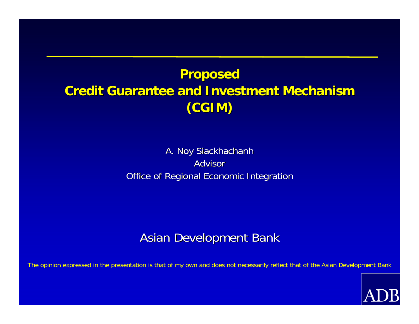## **Proposed Proposed Credit Guarantee and Investment Mechanism Credit Guarantee and Investment Mechanism(CGIM)**

#### A. Noy Siackhachanh Advisor Office of Regional Economic Integration

#### **Asian Development Bank**

The opinion expressed in the presentation is that of my own and does not necessarily reflect that of the Asian Development Bank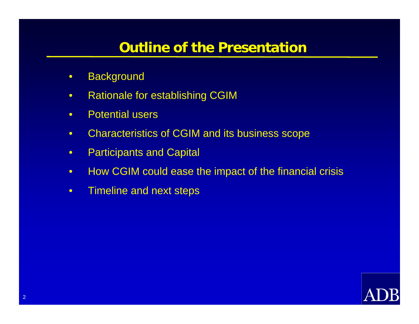#### **Outline of the Presentation Outline of the Presentation**

- Background
- Rationale for establishing CGIM
- Potential users
- Characteristics of CGIM and its business scope
- Participants and Capital
- How CGIM could ease the impact of the financial crisis
- Timeline and next steps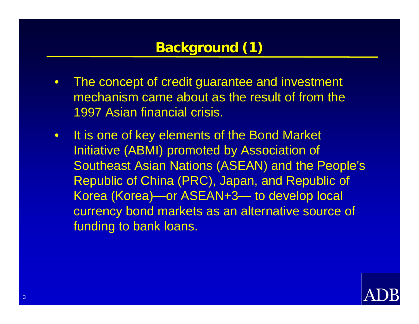# **Background (1) Background (1)**

- The concept of credit guarantee and investment mechanism came about as the result of from the 1997 Asian financial crisis.
- It is one of key elements of the Bond Market Initiative (ABMI) promoted by Association of Southeast Asian Nations (ASEAN) and the People's Republic of China (PRC), Japan, and Republic of Korea (Korea)—or ASEAN+3— to develop local currency bond markets as an alternative source of funding to bank loans.

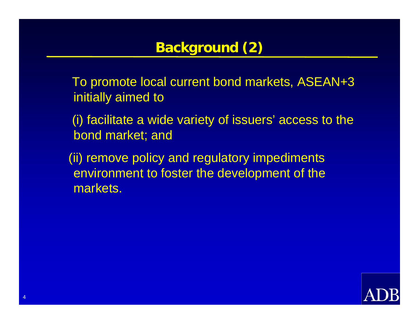## **Background (2) Background (2)**

To promote local current bond markets, ASEAN+3 initially aimed to

(i) facilitate a wide variety of issuers' access to the bond market; and

(ii) remove policy and regulatory impediments environment to foster the development of the markets.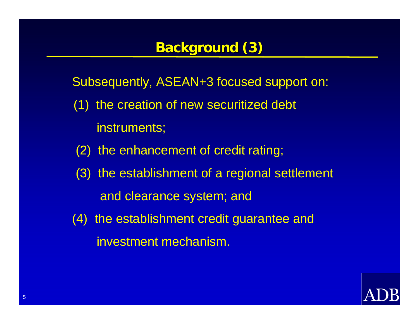## **Background (3) Background (3)**

Subsequently, ASEAN+3 focused support on:

- (1) the creation of new securitized debt instruments;
- (2) the enhancement of credit rating;
- (3) the establishment of a regional settlement and clearance system; and
- (4) the establishment credit guarantee and investment mechanism.

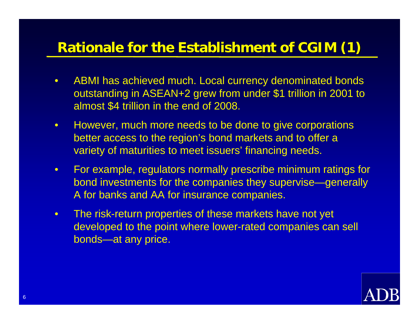## **Rationale for the Establishment of CGIM (1)**

- ABMI has achieved much. Local currency denominated bonds outstanding in ASEAN+2 grew from under \$1 trillion in 2001 to almost \$4 trillion in the end of 2008.
- However, much more needs to be done to give corporations better access to the region's bond markets and to offer a variety of maturities to meet issuers' financing needs.
- For example, regulators normally prescribe minimum ratings for bond investments for the companies they supervise—generally A for banks and AA for insurance companies.
- The risk-return properties of these markets have not yet developed to the point where lower-rated companies can sell bonds—at any price.

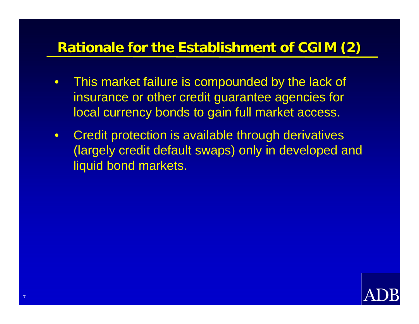## **Rationale for the Establishment of CGIM (2)**

- This market failure is compounded by the lack of insurance or other credit guarantee agencies for local currency bonds to gain full market access.
- Credit protection is available through derivatives (largely credit default swaps) only in developed and liquid bond markets.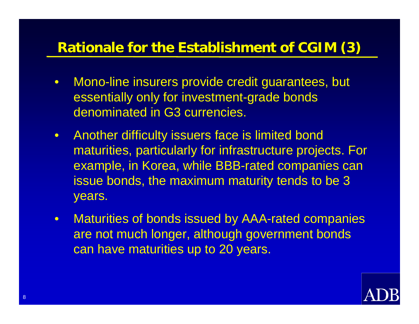## **Rationale for the Establishment of CGIM (3)**

- Mono-line insurers provide credit guarantees, but essentially only for investment-grade bonds denominated in G3 currencies.
- Another difficulty issuers face is limited bond maturities, particularly for infrastructure projects. For example, in Korea, while BBB-rated companies can issue bonds, the maximum maturity tends to be 3 years.
- Maturities of bonds issued by AAA-rated companies are not much longer, although government bonds can have maturities up to 20 years.

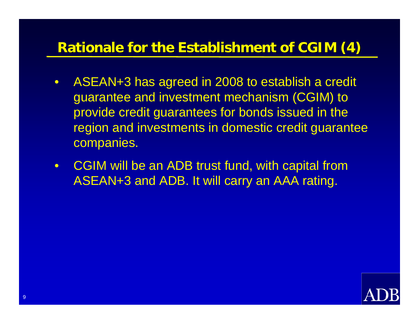### **Rationale for the Establishment of CGIM (4)**

- ASEAN+3 has agreed in 2008 to establish a credit guarantee and investment mechanism (CGIM) to provide credit guarantees for bonds issued in the region and investments in domestic credit guarantee companies.
- CGIM will be an ADB trust fund, with capital from ASEAN+3 and ADB. It will carry an AAA rating.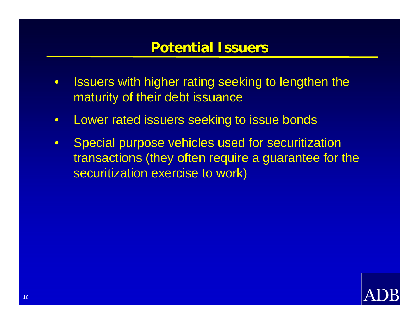#### **Potential Issuers Potential Issuers**

- Issuers with higher rating seeking to lengthen the maturity of their debt issuance
- Lower rated issuers seeking to issue bonds
- Special purpose vehicles used for securitization transactions (they often require a guarantee for the securitization exercise to work)

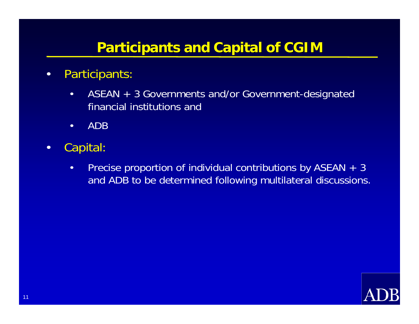#### **Participants and Capital of CGIM**

- Participants:
	- ASEAN + 3 Governments and/or Government-designated financial institutions and
	- ADB
- Capital:
	- Precise proportion of individual contributions by ASEAN + 3 and ADB to be determined following multilateral discussions.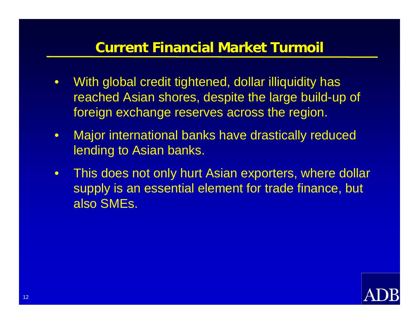#### **Current Financial Market Turmoil Current Financial Market Turmoil**

- With global credit tightened, dollar illiquidity has reached Asian shores, despite the large build-up of foreign exchange reserves across the region.
- Major international banks have drastically reduced lending to Asian banks.
- This does not only hurt Asian exporters, where dollar supply is an essential element for trade finance, but also SMEs.

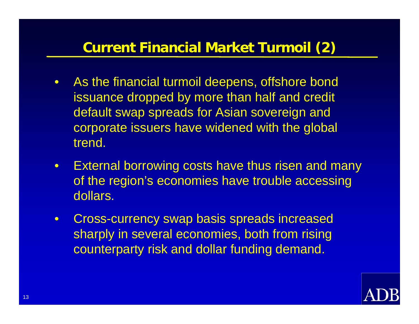## **Current Financial Market Turmoil (2)**

- As the financial turmoil deepens, offshore bond issuance dropped by more than half and credit default swap spreads for Asian sovereign and corporate issuers have widened with the global trend.
- External borrowing costs have thus risen and many of the region's economies have trouble accessing dollars.
- Cross-currency swap basis spreads increased sharply in several economies, both from rising counterparty risk and dollar funding demand.

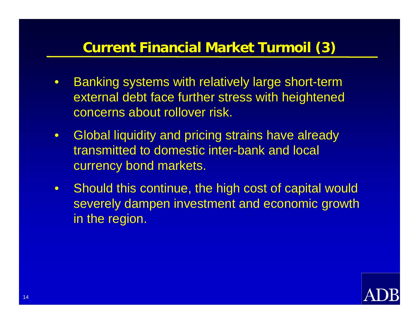## **Current Financial Market Turmoil (3) Current Financial Market Turmoil (3)**

- Banking systems with relatively large short-term external debt face further stress with heightened concerns about rollover risk.
- Global liquidity and pricing strains have already transmitted to domestic inter-bank and local currency bond markets.
- Should this continue, the high cost of capital would severely dampen investment and economic growth in the region.

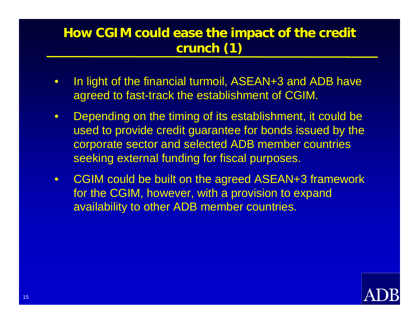#### How CGIM could ease the impact of the credit **crunch (1) crunch (1)**

- In light of the financial turmoil, ASEAN+3 and ADB have agreed to fast-track the establishment of CGIM.
- Depending on the timing of its establishment, it could be used to provide credit guarantee for bonds issued by the corporate sector and selected ADB member countries seeking external funding for fiscal purposes.
- CGIM could be built on the agreed ASEAN+3 framework for the CGIM, however, with a provision to expand availability to other ADB member countries.

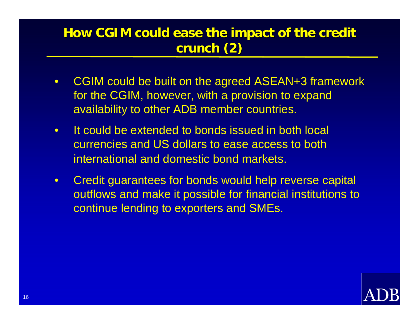#### How CGIM could ease the impact of the credit **crunch (2) crunch (2)**

- CGIM could be built on the agreed ASEAN+3 framework for the CGIM, however, with a provision to expand availability to other ADB member countries.
- It could be extended to bonds issued in both local currencies and US dollars to ease access to both international and domestic bond markets.
- Credit guarantees for bonds would help reverse capital outflows and make it possible for financial institutions to continue lending to exporters and SMEs.

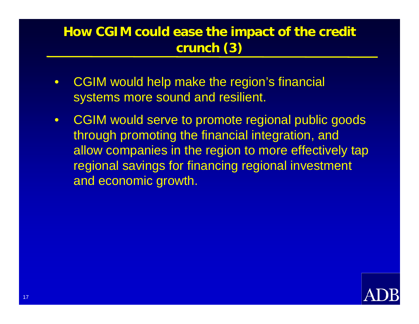#### **How CGIM could ease the impact of the credit crunch (3) crunch (3)**

- CGIM would help make the region's financial systems more sound and resilient.
- CGIM would serve to promote regional public goods through promoting the financial integration, and allow companies in the region to more effectively tap regional savings for financing regional investment and economic growth.